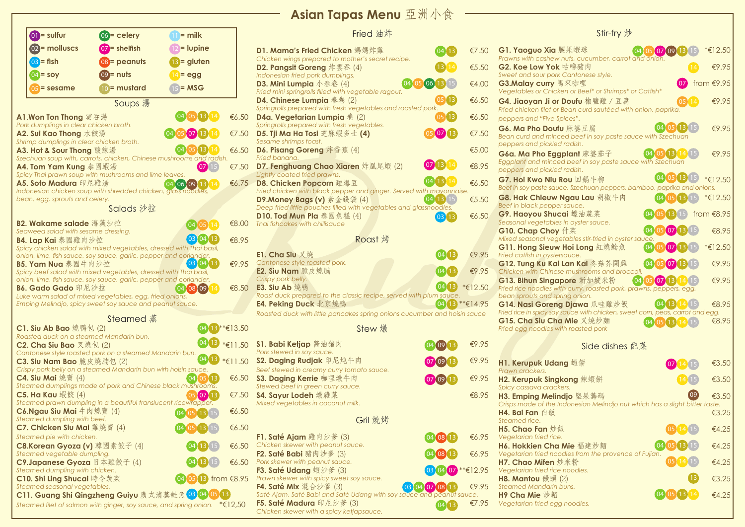| $\omega_1$ = sulfur                                               | $06$ = celery                                                                                                                            | $=$ milk                               |             | Fried 油炸                                                                         |
|-------------------------------------------------------------------|------------------------------------------------------------------------------------------------------------------------------------------|----------------------------------------|-------------|----------------------------------------------------------------------------------|
| 02 = molluscs                                                     | $\overline{07}$ = shelfish                                                                                                               | = lupine                               |             | D1. Mama's Fried Chicken 媽媽炸雞                                                    |
| $03$ = fish                                                       | 08 = peanuts                                                                                                                             | 13 = gluten                            |             | Chicken wings prepared to mother's secret recipe.                                |
| $04 =$ soy                                                        | $(09)$ = nuts                                                                                                                            | = egg                                  |             | D2. Pangsit Goreng 炸雲吞 (4)<br>Indonesian fried pork dumplings.                   |
|                                                                   |                                                                                                                                          |                                        |             | <b>D3. Mini Lumpia</b> $\sqrt{\frac{k}{k}}$ (4)                                  |
| $05$ = sesame                                                     | 10 = mustard                                                                                                                             | $= MSG$                                |             | Fried mini springrolls filled with vegetable ragout.                             |
|                                                                   | Soups 湯                                                                                                                                  |                                        |             | D4. Chinese Lumpia 春卷 (2)<br>Springrolls prepared with fresh vegetables and roas |
| A1.Won Ton Thong 雲吞湯                                              |                                                                                                                                          | (04(05)(13))                           | € $6.50$    | <b>D4a. Vegetarian Lumpia</b> $\&$ (2)                                           |
| Pork dumplings in clear chicken broth.                            |                                                                                                                                          | 07                                     |             | Springrolls prepared with fresh vegetables.                                      |
| A2. Sui Kao Thong 水餃湯<br>Shrimp dumplings in clear chicken broth. |                                                                                                                                          |                                        | €7.50       | D5. Tji Ma Ha Tosi 芝麻蝦多士 (4)<br>Sesame shrimps toast.                            |
| A3. Ho <del>l</del> & Sour Thong 酸辣湯                              |                                                                                                                                          | (04)05(13)                             | €6.50       | D6. Pisang Goreng 炸香蕉 (4)                                                        |
| A4. Tom Yam Kung 泰國蝦湯                                             | Szechuan soup with, carrots, chicken, Chinese mushrooms and radish.                                                                      | (07)15                                 | €7.50       | Fried banana.<br>D7. Fenghuang Chao Xiaren 炸凰尾蝦 (2)                              |
|                                                                   | Spicy Thai prawn soup with mushrooms and lime leaves.                                                                                    |                                        |             | Lightly coated fried prawns.                                                     |
| A5. Soto Madura 印尼雞湯                                              |                                                                                                                                          | (04)(06)(09)(13)(14)                   | € $6.75$    | D8. Chicken Popcorn 雞爆豆                                                          |
| bean, egg, sprouts and celery.                                    | Indonesian chicken soup with shredded chicken, glass noodles,                                                                            |                                        |             | Fried chicken with black pepper and ginger. Serve<br>D9. Money Bags (v) 素金錢袋 (4) |
|                                                                   | Salads 沙拉                                                                                                                                |                                        |             | Deep fried little pouches filled with vegetables and                             |
| B2. Wakame salade 海藻沙拉                                            |                                                                                                                                          |                                        | €8.00       | <b>D10. Tod Mun Pla</b> 泰國魚糕 (4)<br>Thai fishcakes with chillisauce              |
| Seaweed salad with sesame dressing.                               |                                                                                                                                          | 04<br>05                               |             |                                                                                  |
| B4. Lap Kai 泰國雞肉沙拉                                                |                                                                                                                                          | $\boxed{03}$ $\boxed{04}$ $\boxed{13}$ | €8.95       | Roast 烤                                                                          |
|                                                                   | Spicy chicken salad with mixed vegetables, dressed with Thai basil,<br>onion, lime, fish sauce, soy sauce, garlic, pepper and coriander. |                                        |             | E1. Cha Siu 叉燒                                                                   |
| B5. Yam Nua 泰國牛肉沙拉                                                |                                                                                                                                          | $\left[03\right]04$ $\left[13\right]$  | €9.95       | Cantonese style roasted pork.                                                    |
|                                                                   | Spicy beef salad with mixed vegetables, dressed with Thai basil,<br>onion, lime, fish sauce, soy sauce, garlic, pepper and coriander.    |                                        |             | E2. Siu Nam 脆皮燒腩<br>Crispy pork belly.                                           |
| B6. Gado Gado 印尼沙拉                                                |                                                                                                                                          | (04) 08 (09)                           | €8.50       | E3. Siu Ab 燒鴨                                                                    |
|                                                                   | Luke warm salad of mixed vegetables, egg, fried onions,<br>Emping Melindjo, spicy sweet soy sauce and peanut sauce.                      |                                        |             | Roast duck prepared to the classic recipe, served                                |
|                                                                   |                                                                                                                                          |                                        |             | E4. Peking Duck 北京燒鴨<br>Roasted duck with little pancakes spring onions cud      |
|                                                                   | <b>Steamed 蒸</b>                                                                                                                         |                                        |             |                                                                                  |
| C1. Siu Ab Bao 燒鴨包 (2)<br>Roasted duck on a steamed Mandarin bun. |                                                                                                                                          |                                        | 13 **€13.50 | Stew 燉                                                                           |
| C2. Cha Siu Bao 又燒包 (2)                                           |                                                                                                                                          |                                        | $*€11.50$   | S1. Babi Ketjap 酱油猪肉                                                             |
| C3. Siu Nam Bao 脆皮燒腩包 (2)                                         | Cantonese style roasted pork on a steamed Mandarin bun.                                                                                  | $ 13\rangle$<br>04                     | $*€11.50$   | Pork stewed in soy sauce.<br>S2. Daging Rudjak 印尼炖牛肉                             |
|                                                                   | Crispy pork belly on a steamed Mandarin bun wirh hoisin sauce.                                                                           |                                        |             | Beef stewed in creamy curry tomato sauce.                                        |
| C4. Siu Mai 燒賣 $(4)$                                              |                                                                                                                                          | 04 05 13                               | €6.50       | S3. Daging Kerrie 咖哩燉牛肉                                                          |
| C5. Ha Kau 蝦餃 (4)                                                 | Steamed dumplings made of pork and Chinese black mushrooms.                                                                              | (05) 07) 13                            | €7.50       | Stewed beef in green curry sauce.<br>S4. Sayur Lodeh 燉雜菜                         |
|                                                                   | Steamed prawn dumpling in a beautiful translucent ricewrapper.                                                                           |                                        |             | Mixed vegetables in coconut milk.                                                |
| C6.Ngau Siu Mai 牛肉燒賣 (4)<br>Steamed dumpling with beef.           |                                                                                                                                          | [04]05]13]15                           | €6.50       |                                                                                  |
| C7. Chicken Siu Mai 雞燒賣 (4)                                       |                                                                                                                                          |                                        | €6.50       | Gril 燒烤                                                                          |
| Steamed pie with chicken.                                         |                                                                                                                                          |                                        |             | <b>F1. Saté Ajam</b> 雞肉沙爹 (3)                                                    |
| C8.Korean Gyoza (v) 韓國素餃子 (4)                                     |                                                                                                                                          | $\left(13\right)$<br>[04]              | €6.50       | Chicken skewer with peanut sauce.                                                |
| Steamed vegetable dumpling.<br>C9.Japanese Gyoza 日本雞餃子 (4)        |                                                                                                                                          |                                        | €6.50       | <b>F2. Saté Babi</b> 豬肉沙爹 (3)<br>Pork skewer with peanut sauce.                  |
| Steamed dumpling with chicken.                                    |                                                                                                                                          |                                        |             | <b>F3. Saté Udang 蝦沙爹 (3)</b>                                                    |
| C10. Shi Ling Shucai 時令蔬菜<br>Steamed seasonal vegetables.         |                                                                                                                                          | $05(13)$ from $68.95$                  |             | Prawn skewer with spicy sweet soy sauce.<br><b>F4. Saté Mix</b> 混合沙爹 (3)<br>03   |
|                                                                   | C11. Guang Shi Qingzheng Guiyu 廣式清蒸鮭魚 03 04 05 13                                                                                        |                                        |             | Saté Ajam, Saté Babi and Saté Udang with soy sau                                 |
|                                                                   | Steamed filet of salmon with ginger, soy sauce, and spring onion. $\,$ * $\mathsf{\in}12{,}50$                                           |                                        |             | F5. Saté Madura 印尼沙爹 (3)<br>Chicken skewer with a spicy ketiansauce              |
|                                                                   |                                                                                                                                          |                                        |             |                                                                                  |

## **Asian Tapas Menu** 亞洲小食

## 油炸

| Stir-fry 炒                                                                              |                                                 |
|-----------------------------------------------------------------------------------------|-------------------------------------------------|
| 果蝦球<br>$04$ 05 07 09 13 15 $*$ €12.50                                                   |                                                 |
| luts, cucumber, carrot and onion.<br>古嚕豬肉<br>$\overline{14}$                            | €9.95                                           |
| Cantonese style.<br>來咖哩                                                                 | $\overline{07}$ from $\overline{\epsilon}$ 9.95 |
| In or Beef* or Shrimps* or Catfish*<br>Doufu 椒鹽雞 / 豆腐<br>$\boxed{05}$ $\boxed{14}$      | €9.95                                           |
| ean curd sautéed with onion, paprika,<br>ices".                                         |                                                 |
| (04)(05)(13)(15)<br>麻婆豆腐<br>d beef in soy paste sauce with Szechuan<br>radish.          | €9.95                                           |
| I beef in soy paste sauce with Szechuan<br>radish.                                      | €9.95                                           |
| 04 05 13 15<br>ou 回鍋牛柳<br>e, Szechuan peppers, bamboo, paprika and onions.              | *€12.50                                         |
| lgau Lau 胡椒牛肉<br>$04051315$ * $\in$ 12.50<br>sauce.                                     |                                                 |
| $(04)(05)(13)(15)$ from $\in 8.95$<br>i 蠔油蔬菜<br>in oyster sauce.                        |                                                 |
| (04)(05)(07)(13)(15)<br>什菜<br>tables stir-fried in oyster sauce.                        | €8.95                                           |
| $0405071315$ * $\text{\textsterling}12.50$<br>Hoi Long 紅燒鯰魚 ――<br>auce.                 |                                                 |
| $(04)$ $(05)$ $(07)$ $(13)$ $(15)$<br>.an Kai 冬菇芥闌雞 ――<br>mushrooms and broccoli.       | €9.95                                           |
| n curry, roasted pork, prawns, peppers, egg,                                            | €9.95                                           |
| ng onion.<br>04 13 14 15<br>Djawa 爪哇雞炒飯                                                 | €8.95                                           |
| auce with chicken, sweet corn, peas, carrot and egg.<br>Mie 叉燒炒麵                        | €8.95                                           |
| 04 05 13 14 15<br>h roasted pork                                                        |                                                 |
| Side dishes 配菜                                                                          |                                                 |
| g 蝦餅<br>(07)(14)(15)                                                                    | €3.50                                           |
| ong 辣蝦餅<br>14(15)<br>rs.                                                                | €3.50                                           |
| $\left[09\right]$<br>ljo 堅果籌碼<br>donesian Melindjo nut which has a slight bitter taste. | €3.50                                           |
|                                                                                         | €3.25                                           |
| 05 14 15                                                                                | €4.25                                           |
| 04 05 13 15<br>Mie 福建炒麵                                                                 | €4.25                                           |
| dles from the provence of Fujian.<br>05[14]<br>米粉                                       | €4.25                                           |
| noodles.<br>13)<br>2)                                                                   | €3.25                                           |
| uns.<br>(04)(05)(13)(14)                                                                | €4.25                                           |
| noodles.                                                                                |                                                 |

|          | D1. Mama's Fried Chicken 媽媽炸雞<br>Chicken wings prepared to mother's secret recipe.                   |                            | €7.50    | G1. Yaoguo Xia 腰果蝦球<br>(04)<br>【07<br>Prawns with cashew nuts, cucumber, carrot and onion.                                      | €12.50        |
|----------|------------------------------------------------------------------------------------------------------|----------------------------|----------|---------------------------------------------------------------------------------------------------------------------------------|---------------|
|          | D2. Pangsit Goreng 炸雲吞 (4)<br>Indonesian fried pork dumplings.                                       |                            | € $5.50$ | G2. Koe Low Yok 咕嚕豬肉<br>Sweet and sour pork Cantonese style.                                                                    | €9.95         |
|          | D3. Mini Lumpia $\sqrt{\frac{k}{6}}$ (4)<br>Fried mini springrolls filled with vegetable ragout.     | 06                         | €4.00    | G3. Malay curry 馬來咖哩<br>Vegetables or Chicken or Beef* or Shrimps* or Catfish*                                                  | €9.95<br>trom |
|          | D4. Chinese Lumpia 春卷 (2)<br>Springrolls prepared with fresh vegetables and roasted pork.            |                            | €6.50    | G4. Jiaoyan Ji or Doufu 椒鹽雞 / 豆腐<br>Fried chicken filet or Bean curd sautéed with onion, paprika,                               | €9.95         |
| €6.50    | <b>D4a. Vegetarian Lumpia</b> $\&$ (2)<br>Springrolls prepared with fresh vegetables.                |                            | € $6.50$ | peppers and "Five Spices".                                                                                                      |               |
| €7.50    | D5. Tji Ma Ha Tosi 芝麻蝦多士 (4)<br>Sesame shrimps toast.                                                |                            | €7.50    | G6. Ma Pho Doufu 麻婆豆腐<br>Bean curd and minced beef in soy paste sauce with Szechuan<br>peppers and pickled radish.              | €9.95         |
| €6.50    | <b>D6. Pisang Goreng</b> 炸香蕉 (4)<br>Fried banana.                                                    |                            | €5.00    | (04)(05)(13)(14)(15)<br>G6a. Ma Pho Eggplant 麻婆茄子                                                                               | €9.95         |
| €7.50    | D7. Fenghuang Chao Xiaren 炸凰尾蝦 (2)<br>Lightly coated fried prawns.                                   | $(07)$ 13)                 | €8.95    | Eggplant and minced beef in soy paste sauce with Szechuan<br>peppers and pickled radish.                                        |               |
| € $6.75$ | D8. Chicken Popcorn 雞爆豆<br>Fried chicken with black pepper and ginger. Served with mayonnaise.       | $\left(13\right)\,14$      | €6.50    | $(04)$ 05 $(13)$<br>G7. Hoi Kwo Niu Rou 回鍋牛柳<br>Beef in soy paste sauce, Szechuan peppers, bamboo, paprika and onions.          | *€12.50       |
|          | D9.Money Bags (v) 素金錢袋 (4)<br>Deep fried little pouches filled with vegetables and glassnoodles.     | $(04)$ 13 $15)$            | €5.50    | <b>G8. Hak Chieuw Ngau Lau 胡椒牛肉</b><br>(04)05)13115<br>Beef in black pepper sauce.                                              | *€12.50       |
| €8.00    | <b>D10. Tod Mun Pla</b> 泰國魚糕 (4)<br>Thai fishcakes with chillisauce                                  |                            | € $6.50$ | G9. Haoyou Shucai 蠔油蔬菜<br>Seasonal vegetables in oyster sauce.                                                                  | from $€8.95$  |
| €8.95    | Roast 烤                                                                                              |                            |          | [07]1<br>G10. Chap Choy 什菜<br>(04)<br>Mixed seasonal vegetables stir-fried in oyster sauce.                                     | €8.95         |
|          | E1. Cha Siu 叉燒                                                                                       |                            | €9.95    | (07)<br>G11. Hong Sieuw Hoi Long 紅燒鯰魚<br>Fried catfish in oystersauce.                                                          | *€12.50       |
| €9.95    | Cantonese style roasted pork.<br>E2. Siu Nam 脆皮燒腩                                                    |                            | €9.95    | $(04)$ 05<br>G12. Tung Ku Kai Lan Kai 冬菇芥闌雞<br>【07<br>Chicken with Chinese mushrooms and broccoli.                              | €9.95         |
| €8.50    | Crispy pork belly.<br>E3. Siu Ab 燒鴨                                                                  |                            | *€12.50  | (04)(05)(07)(13)(14)(15)<br>G13. Bihun Singapore 新加坡米粉<br>Fried rice noodles with curry, roasted pork, prawns, peppers, egg,    | €9.95         |
|          | Roast duck prepared to the classic recipe, served with plum sauce.<br>E4. Peking Duck 北京燒鴨           | $04$ 13 ** $\in$ 14.95     |          | bean sprouts and spring onion.<br>G14. Nasi Goreng Djawa 爪哇雞炒飯                                                                  | €8.95         |
|          | Roasted duck with little pancakes spring onions cucumber and hoisin sauce                            |                            |          | Fried rice in spicy soy sauce with chicken, sweet corn, peas, carrot and egg.<br>G15. Cha Siu Cha Mie 叉燒炒麵<br>$(04)05)13)14$ 15 | €8.95         |
| *€13.50  | Stew 燉                                                                                               |                            |          | Fried egg noodles with roasted pork                                                                                             |               |
| *€11.50  | S1. Babi Ketjap 酱油猪肉<br>Pork stewed in soy sauce.                                                    |                            | €9.95    | Side dishes 配菜                                                                                                                  |               |
| *€11.50  | S2. Daging Rudjak 印尼炖牛肉<br>Beef stewed in creamy curry tomato sauce.                                 |                            | €9.95    | H1. Kerupuk Udang 蝦餅<br>Prawn crackers.                                                                                         | €3.50         |
| €6.50    | S3. Daging Kerrie 咖哩燉牛肉<br>Stewed beef in green curry sauce.                                         | $(07)$ $(09)$              | €9.95    | H2. Kerupuk Singkong 辣蝦餅<br>Spicy cassava crackers.                                                                             | €3.50         |
| €7.50    | <b>S4. Sayur Lodeh</b> 燉雜菜<br>Mixed vegetables in coconut milk.                                      |                            | € $8.95$ | H3. Emping Melindjo 堅果籌碼<br>Crisps made of the Indonesian Melindjo nut which has a slight bitter taste.                         | €3.50         |
| €6.50    | Gril 燒烤                                                                                              |                            |          | H4. Bai Fan 白飯<br>Steamed rice.                                                                                                 | €3.25         |
| €6.50    | F1. Saté Ajam 雞肉沙爹 (3)                                                                               |                            | €6.95    | H5. Chao Fan 炒飯<br>Vegetarian fried rice.                                                                                       | €4.25         |
| €6.50    | Chicken skewer with peanut sauce.<br>F2. Saté Babi 豬肉沙爹 (3)                                          |                            | €6.95    | H6. Hokkien Cha Mie 福建炒麵<br>[04]                                                                                                | €4.25         |
| €6.50    | Pork skewer with peanut sauce.                                                                       |                            |          | Vegetarian fried noodles from the provence of Fujian.<br>H7. Chao Mifen 炒米粉                                                     | €4.25         |
| m €8.95  | <b>F3. Saté Udang</b> 蝦沙爹 (3)<br>Prawn skewer with spicy sweet soy sauce.                            | $03(04(07) * * \in 12.95)$ |          | Vegetarian fried rice noodles.<br>H8. Mantou 饅頭 $(2)$                                                                           | €3.25         |
| 13)      | <b>F4. Saté Mix</b> 混合沙爹 (3)<br>Saté Ajam, Saté Babi and Saté Udang with soy sauce and peanut sauce. | 03 04 07 08 13             | €9.95    | <b>Steamed Mandarin buns.</b><br>H9 Cha Mie 炒麵<br>[04]                                                                          | €4.25         |
| f(12,50) | <b>F5. Saté Madura</b> 印尼沙爹 (3)<br>Chicken skewer with a spicy ketjapsauce.                          |                            | €7.95    | Vegetarian fried egg noodles.                                                                                                   |               |